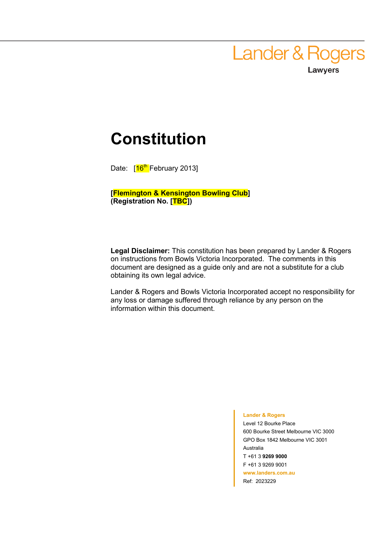**Lander & Rogers** Lawyers

## **Constitution**

Date: [16<sup>th</sup> February 2013]

**[Flemington & Kensington Bowling Club] (Registration No. [TBC])** 

**Legal Disclaimer:** This constitution has been prepared by Lander & Rogers on instructions from Bowls Victoria Incorporated. The comments in this document are designed as a guide only and are not a substitute for a club obtaining its own legal advice.

Lander & Rogers and Bowls Victoria Incorporated accept no responsibility for any loss or damage suffered through reliance by any person on the information within this document.

#### **Lander & Rogers**

Level 12 Bourke Place 600 Bourke Street Melbourne VIC 3000 GPO Box 1842 Melbourne VIC 3001 Australia T +61 3 **9269 9000**  F +61 3 9269 9001 **www.landers.com.au**  Ref: 2023229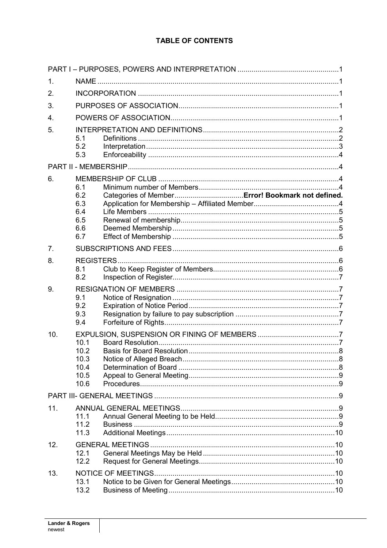## TABLE OF CONTENTS

| 1.             |                                               |  |  |  |  |  |
|----------------|-----------------------------------------------|--|--|--|--|--|
| 2.             |                                               |  |  |  |  |  |
| 3.             |                                               |  |  |  |  |  |
| 4.             |                                               |  |  |  |  |  |
| 5.             | 5.1<br>5.2<br>5.3                             |  |  |  |  |  |
|                |                                               |  |  |  |  |  |
| 6.             | 6.1<br>6.2<br>6.3<br>6.4<br>6.5<br>6.6<br>6.7 |  |  |  |  |  |
| 7 <sub>1</sub> |                                               |  |  |  |  |  |
| 8.             | <b>REGISTERS</b><br>8.1<br>8.2                |  |  |  |  |  |
| 9.             | 9.1<br>9.2<br>9.3<br>9.4                      |  |  |  |  |  |
| 10.            | 10.1<br>10.2<br>10.3<br>10.4<br>10.5<br>10.6  |  |  |  |  |  |
|                |                                               |  |  |  |  |  |
| 11.            | 11.1<br>11.2<br>11.3                          |  |  |  |  |  |
| 12.            | 12.1<br>12.2                                  |  |  |  |  |  |
| 13.            | 13.1<br>13.2                                  |  |  |  |  |  |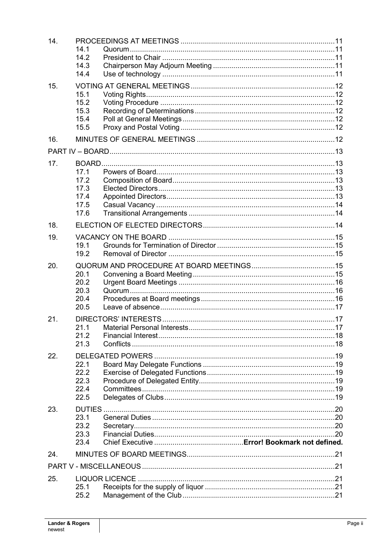| 14. |              |  |  |  |  |  |  |
|-----|--------------|--|--|--|--|--|--|
|     | 14.1         |  |  |  |  |  |  |
|     | 14.2         |  |  |  |  |  |  |
|     | 14.3         |  |  |  |  |  |  |
|     | 14.4         |  |  |  |  |  |  |
| 15. |              |  |  |  |  |  |  |
|     | 15.1         |  |  |  |  |  |  |
|     | 15.2         |  |  |  |  |  |  |
|     | 15.3<br>15.4 |  |  |  |  |  |  |
|     | 15.5         |  |  |  |  |  |  |
|     |              |  |  |  |  |  |  |
| 16. |              |  |  |  |  |  |  |
|     |              |  |  |  |  |  |  |
| 17. |              |  |  |  |  |  |  |
|     | 17.1         |  |  |  |  |  |  |
|     | 17.2         |  |  |  |  |  |  |
|     | 17.3         |  |  |  |  |  |  |
|     | 17.4         |  |  |  |  |  |  |
|     | 17.5         |  |  |  |  |  |  |
|     | 17.6         |  |  |  |  |  |  |
| 18. |              |  |  |  |  |  |  |
| 19. |              |  |  |  |  |  |  |
|     | 19.1         |  |  |  |  |  |  |
|     | 19.2         |  |  |  |  |  |  |
| 20. |              |  |  |  |  |  |  |
|     | 20.1         |  |  |  |  |  |  |
|     | 20.2         |  |  |  |  |  |  |
|     | 20.3         |  |  |  |  |  |  |
|     | 20.4         |  |  |  |  |  |  |
|     | 20.5         |  |  |  |  |  |  |
| 21. |              |  |  |  |  |  |  |
|     |              |  |  |  |  |  |  |
|     | 21.2         |  |  |  |  |  |  |
|     | 21.3         |  |  |  |  |  |  |
| 22. |              |  |  |  |  |  |  |
|     | 22.1         |  |  |  |  |  |  |
|     | 22.2         |  |  |  |  |  |  |
|     | 22.3         |  |  |  |  |  |  |
|     | 22.4         |  |  |  |  |  |  |
|     | 22.5         |  |  |  |  |  |  |
| 23. |              |  |  |  |  |  |  |
|     | 23.1         |  |  |  |  |  |  |
|     | 23.2         |  |  |  |  |  |  |
|     | 23.3         |  |  |  |  |  |  |
|     | 23.4         |  |  |  |  |  |  |
| 24. |              |  |  |  |  |  |  |
|     |              |  |  |  |  |  |  |
|     |              |  |  |  |  |  |  |
| 25. |              |  |  |  |  |  |  |
|     | 25.1<br>25.2 |  |  |  |  |  |  |
|     |              |  |  |  |  |  |  |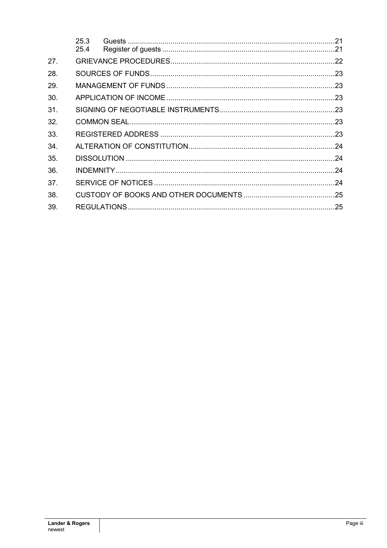|     | 25.3 |  |  |  |  |  |
|-----|------|--|--|--|--|--|
|     | 25.4 |  |  |  |  |  |
| 27. |      |  |  |  |  |  |
| 28. |      |  |  |  |  |  |
| 29. |      |  |  |  |  |  |
| 30. |      |  |  |  |  |  |
| 31. |      |  |  |  |  |  |
| 32. |      |  |  |  |  |  |
| 33. |      |  |  |  |  |  |
| 34. |      |  |  |  |  |  |
| 35. |      |  |  |  |  |  |
| 36. |      |  |  |  |  |  |
| 37. |      |  |  |  |  |  |
| 38. |      |  |  |  |  |  |
| 39. |      |  |  |  |  |  |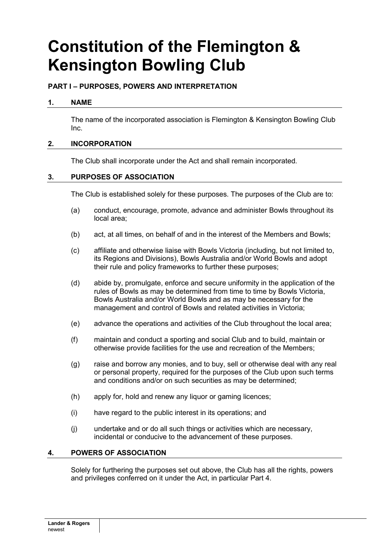# **Constitution of the Flemington & Kensington Bowling Club**

## **PART I – PURPOSES, POWERS AND INTERPRETATION**

#### **1. NAME**

The name of the incorporated association is Flemington & Kensington Bowling Club Inc.

### **2. INCORPORATION**

The Club shall incorporate under the Act and shall remain incorporated.

#### **3. PURPOSES OF ASSOCIATION**

The Club is established solely for these purposes. The purposes of the Club are to:

- (a) conduct, encourage, promote, advance and administer Bowls throughout its local area;
- (b) act, at all times, on behalf of and in the interest of the Members and Bowls;
- (c) affiliate and otherwise liaise with Bowls Victoria (including, but not limited to, its Regions and Divisions), Bowls Australia and/or World Bowls and adopt their rule and policy frameworks to further these purposes;
- (d) abide by, promulgate, enforce and secure uniformity in the application of the rules of Bowls as may be determined from time to time by Bowls Victoria, Bowls Australia and/or World Bowls and as may be necessary for the management and control of Bowls and related activities in Victoria;
- (e) advance the operations and activities of the Club throughout the local area;
- (f) maintain and conduct a sporting and social Club and to build, maintain or otherwise provide facilities for the use and recreation of the Members;
- (g) raise and borrow any monies, and to buy, sell or otherwise deal with any real or personal property, required for the purposes of the Club upon such terms and conditions and/or on such securities as may be determined;
- (h) apply for, hold and renew any liquor or gaming licences;
- (i) have regard to the public interest in its operations; and
- (j) undertake and or do all such things or activities which are necessary, incidental or conducive to the advancement of these purposes.

#### **4. POWERS OF ASSOCIATION**

Solely for furthering the purposes set out above, the Club has all the rights, powers and privileges conferred on it under the Act, in particular Part 4.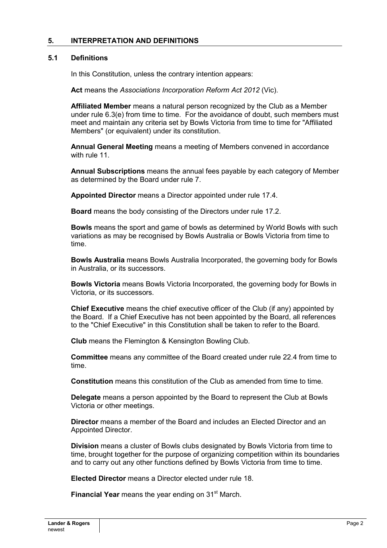### **5. INTERPRETATION AND DEFINITIONS**

#### **5.1 Definitions**

In this Constitution, unless the contrary intention appears:

**Act** means the *Associations Incorporation Reform Act 2012* (Vic).

**Affiliated Member** means a natural person recognized by the Club as a Member under rule 6.3(e) from time to time. For the avoidance of doubt, such members must meet and maintain any criteria set by Bowls Victoria from time to time for "Affiliated Members" (or equivalent) under its constitution.

**Annual General Meeting** means a meeting of Members convened in accordance with rule 11

**Annual Subscriptions** means the annual fees payable by each category of Member as determined by the Board under rule 7.

**Appointed Director** means a Director appointed under rule 17.4.

**Board** means the body consisting of the Directors under rule 17.2.

**Bowls** means the sport and game of bowls as determined by World Bowls with such variations as may be recognised by Bowls Australia or Bowls Victoria from time to time.

**Bowls Australia** means Bowls Australia Incorporated, the governing body for Bowls in Australia, or its successors.

**Bowls Victoria** means Bowls Victoria Incorporated, the governing body for Bowls in Victoria, or its successors.

**Chief Executive** means the chief executive officer of the Club (if any) appointed by the Board. If a Chief Executive has not been appointed by the Board, all references to the "Chief Executive" in this Constitution shall be taken to refer to the Board.

**Club** means the Flemington & Kensington Bowling Club.

**Committee** means any committee of the Board created under rule 22.4 from time to time.

**Constitution** means this constitution of the Club as amended from time to time.

**Delegate** means a person appointed by the Board to represent the Club at Bowls Victoria or other meetings.

**Director** means a member of the Board and includes an Elected Director and an Appointed Director.

**Division** means a cluster of Bowls clubs designated by Bowls Victoria from time to time, brought together for the purpose of organizing competition within its boundaries and to carry out any other functions defined by Bowls Victoria from time to time.

**Elected Director** means a Director elected under rule 18.

**Financial Year** means the year ending on 31<sup>st</sup> March.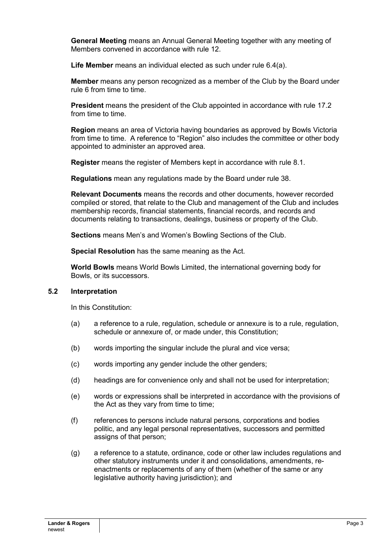**General Meeting** means an Annual General Meeting together with any meeting of Members convened in accordance with rule 12.

**Life Member** means an individual elected as such under rule 6.4(a).

**Member** means any person recognized as a member of the Club by the Board under rule 6 from time to time.

**President** means the president of the Club appointed in accordance with rule 17.2 from time to time.

**Region** means an area of Victoria having boundaries as approved by Bowls Victoria from time to time. A reference to "Region" also includes the committee or other body appointed to administer an approved area.

**Register** means the register of Members kept in accordance with rule 8.1.

**Regulations** mean any regulations made by the Board under rule 38.

**Relevant Documents** means the records and other documents, however recorded compiled or stored, that relate to the Club and management of the Club and includes membership records, financial statements, financial records, and records and documents relating to transactions, dealings, business or property of the Club.

**Sections** means Men's and Women's Bowling Sections of the Club.

**Special Resolution** has the same meaning as the Act.

**World Bowls** means World Bowls Limited, the international governing body for Bowls, or its successors.

#### **5.2 Interpretation**

In this Constitution:

- (a) a reference to a rule, regulation, schedule or annexure is to a rule, regulation, schedule or annexure of, or made under, this Constitution;
- (b) words importing the singular include the plural and vice versa;
- (c) words importing any gender include the other genders;
- (d) headings are for convenience only and shall not be used for interpretation;
- (e) words or expressions shall be interpreted in accordance with the provisions of the Act as they vary from time to time;
- (f) references to persons include natural persons, corporations and bodies politic, and any legal personal representatives, successors and permitted assigns of that person;
- (g) a reference to a statute, ordinance, code or other law includes regulations and other statutory instruments under it and consolidations, amendments, reenactments or replacements of any of them (whether of the same or any legislative authority having jurisdiction); and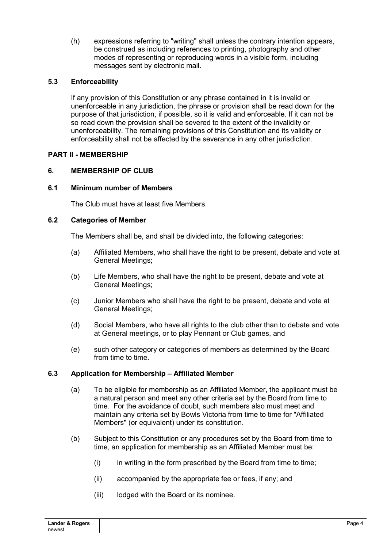(h) expressions referring to "writing" shall unless the contrary intention appears, be construed as including references to printing, photography and other modes of representing or reproducing words in a visible form, including messages sent by electronic mail.

## **5.3 Enforceability**

If any provision of this Constitution or any phrase contained in it is invalid or unenforceable in any jurisdiction, the phrase or provision shall be read down for the purpose of that jurisdiction, if possible, so it is valid and enforceable. If it can not be so read down the provision shall be severed to the extent of the invalidity or unenforceability. The remaining provisions of this Constitution and its validity or enforceability shall not be affected by the severance in any other jurisdiction.

## **PART II - MEMBERSHIP**

### **6. MEMBERSHIP OF CLUB**

#### **6.1 Minimum number of Members**

The Club must have at least five Members.

#### **6.2 Categories of Member**

The Members shall be, and shall be divided into, the following categories:

- (a) Affiliated Members, who shall have the right to be present, debate and vote at General Meetings;
- (b) Life Members, who shall have the right to be present, debate and vote at General Meetings;
- (c) Junior Members who shall have the right to be present, debate and vote at General Meetings;
- (d) Social Members, who have all rights to the club other than to debate and vote at General meetings, or to play Pennant or Club games, and
- (e) such other category or categories of members as determined by the Board from time to time.

#### **6.3 Application for Membership – Affiliated Member**

- (a) To be eligible for membership as an Affiliated Member, the applicant must be a natural person and meet any other criteria set by the Board from time to time. For the avoidance of doubt, such members also must meet and maintain any criteria set by Bowls Victoria from time to time for "Affiliated Members" (or equivalent) under its constitution.
- (b) Subject to this Constitution or any procedures set by the Board from time to time, an application for membership as an Affiliated Member must be:
	- (i) in writing in the form prescribed by the Board from time to time;
	- (ii) accompanied by the appropriate fee or fees, if any; and
	- (iii) lodged with the Board or its nominee.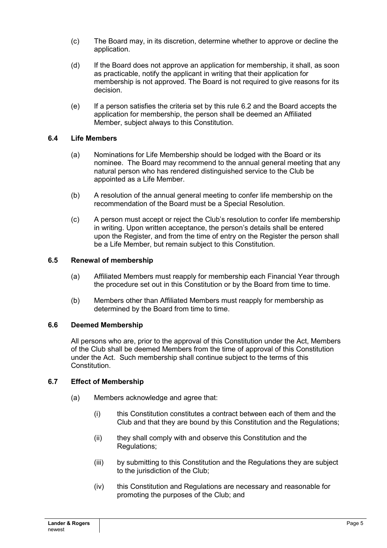- (c) The Board may, in its discretion, determine whether to approve or decline the application.
- (d) If the Board does not approve an application for membership, it shall, as soon as practicable, notify the applicant in writing that their application for membership is not approved. The Board is not required to give reasons for its decision.
- (e) If a person satisfies the criteria set by this rule 6.2 and the Board accepts the application for membership, the person shall be deemed an Affiliated Member, subject always to this Constitution.

### **6.4 Life Members**

- (a) Nominations for Life Membership should be lodged with the Board or its nominee. The Board may recommend to the annual general meeting that any natural person who has rendered distinguished service to the Club be appointed as a Life Member.
- (b) A resolution of the annual general meeting to confer life membership on the recommendation of the Board must be a Special Resolution.
- (c) A person must accept or reject the Club's resolution to confer life membership in writing. Upon written acceptance, the person's details shall be entered upon the Register, and from the time of entry on the Register the person shall be a Life Member, but remain subject to this Constitution.

#### **6.5 Renewal of membership**

- (a) Affiliated Members must reapply for membership each Financial Year through the procedure set out in this Constitution or by the Board from time to time.
- (b) Members other than Affiliated Members must reapply for membership as determined by the Board from time to time.

#### **6.6 Deemed Membership**

All persons who are, prior to the approval of this Constitution under the Act, Members of the Club shall be deemed Members from the time of approval of this Constitution under the Act. Such membership shall continue subject to the terms of this Constitution.

#### **6.7 Effect of Membership**

- (a) Members acknowledge and agree that:
	- (i) this Constitution constitutes a contract between each of them and the Club and that they are bound by this Constitution and the Regulations;
	- (ii) they shall comply with and observe this Constitution and the Regulations;
	- (iii) by submitting to this Constitution and the Regulations they are subject to the jurisdiction of the Club;
	- (iv) this Constitution and Regulations are necessary and reasonable for promoting the purposes of the Club; and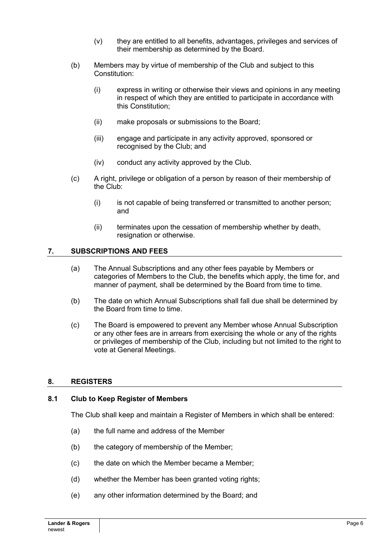- (v) they are entitled to all benefits, advantages, privileges and services of their membership as determined by the Board.
- (b) Members may by virtue of membership of the Club and subject to this Constitution:
	- (i) express in writing or otherwise their views and opinions in any meeting in respect of which they are entitled to participate in accordance with this Constitution;
	- (ii) make proposals or submissions to the Board;
	- (iii) engage and participate in any activity approved, sponsored or recognised by the Club; and
	- (iv) conduct any activity approved by the Club.
- (c) A right, privilege or obligation of a person by reason of their membership of the Club:
	- (i) is not capable of being transferred or transmitted to another person; and
	- (ii) terminates upon the cessation of membership whether by death, resignation or otherwise.

#### **7. SUBSCRIPTIONS AND FEES**

- (a) The Annual Subscriptions and any other fees payable by Members or categories of Members to the Club, the benefits which apply, the time for, and manner of payment, shall be determined by the Board from time to time.
- (b) The date on which Annual Subscriptions shall fall due shall be determined by the Board from time to time.
- (c) The Board is empowered to prevent any Member whose Annual Subscription or any other fees are in arrears from exercising the whole or any of the rights or privileges of membership of the Club, including but not limited to the right to vote at General Meetings.

#### **8. REGISTERS**

#### **8.1 Club to Keep Register of Members**

The Club shall keep and maintain a Register of Members in which shall be entered:

- (a) the full name and address of the Member
- (b) the category of membership of the Member;
- (c) the date on which the Member became a Member;
- (d) whether the Member has been granted voting rights;
- (e) any other information determined by the Board; and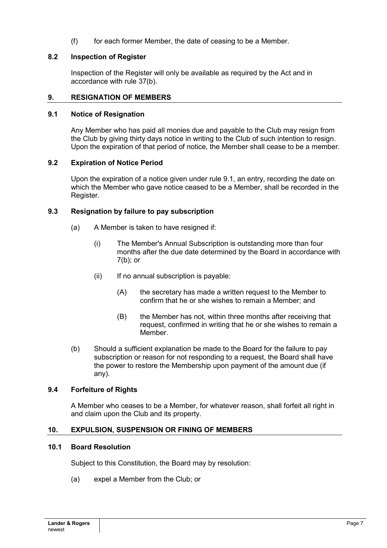(f) for each former Member, the date of ceasing to be a Member.

### **8.2 Inspection of Register**

Inspection of the Register will only be available as required by the Act and in accordance with rule 37(b).

#### **9. RESIGNATION OF MEMBERS**

#### **9.1 Notice of Resignation**

Any Member who has paid all monies due and payable to the Club may resign from the Club by giving thirty days notice in writing to the Club of such intention to resign. Upon the expiration of that period of notice, the Member shall cease to be a member.

#### **9.2 Expiration of Notice Period**

Upon the expiration of a notice given under rule 9.1, an entry, recording the date on which the Member who gave notice ceased to be a Member, shall be recorded in the Register.

#### **9.3 Resignation by failure to pay subscription**

- (a) A Member is taken to have resigned if:
	- (i) The Member's Annual Subscription is outstanding more than four months after the due date determined by the Board in accordance with 7(b); or
	- (ii) If no annual subscription is payable:
		- (A) the secretary has made a written request to the Member to confirm that he or she wishes to remain a Member; and
		- (B) the Member has not, within three months after receiving that request, confirmed in writing that he or she wishes to remain a Member.
- (b) Should a sufficient explanation be made to the Board for the failure to pay subscription or reason for not responding to a request, the Board shall have the power to restore the Membership upon payment of the amount due (if any).

#### **9.4 Forfeiture of Rights**

A Member who ceases to be a Member, for whatever reason, shall forfeit all right in and claim upon the Club and its property.

#### **10. EXPULSION, SUSPENSION OR FINING OF MEMBERS**

#### **10.1 Board Resolution**

Subject to this Constitution, the Board may by resolution:

(a) expel a Member from the Club; or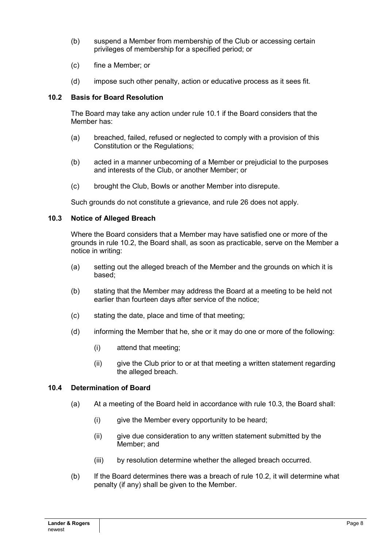- (b) suspend a Member from membership of the Club or accessing certain privileges of membership for a specified period; or
- (c) fine a Member; or
- (d) impose such other penalty, action or educative process as it sees fit.

### **10.2 Basis for Board Resolution**

The Board may take any action under rule 10.1 if the Board considers that the Member has:

- (a) breached, failed, refused or neglected to comply with a provision of this Constitution or the Regulations;
- (b) acted in a manner unbecoming of a Member or prejudicial to the purposes and interests of the Club, or another Member; or
- (c) brought the Club, Bowls or another Member into disrepute.

Such grounds do not constitute a grievance, and rule 26 does not apply.

#### **10.3 Notice of Alleged Breach**

Where the Board considers that a Member may have satisfied one or more of the grounds in rule 10.2, the Board shall, as soon as practicable, serve on the Member a notice in writing:

- (a) setting out the alleged breach of the Member and the grounds on which it is based;
- (b) stating that the Member may address the Board at a meeting to be held not earlier than fourteen days after service of the notice;
- (c) stating the date, place and time of that meeting;
- (d) informing the Member that he, she or it may do one or more of the following:
	- (i) attend that meeting;
	- (ii) give the Club prior to or at that meeting a written statement regarding the alleged breach.

#### **10.4 Determination of Board**

- (a) At a meeting of the Board held in accordance with rule 10.3, the Board shall:
	- (i) give the Member every opportunity to be heard;
	- (ii) give due consideration to any written statement submitted by the Member; and
	- (iii) by resolution determine whether the alleged breach occurred.
- (b) If the Board determines there was a breach of rule 10.2, it will determine what penalty (if any) shall be given to the Member.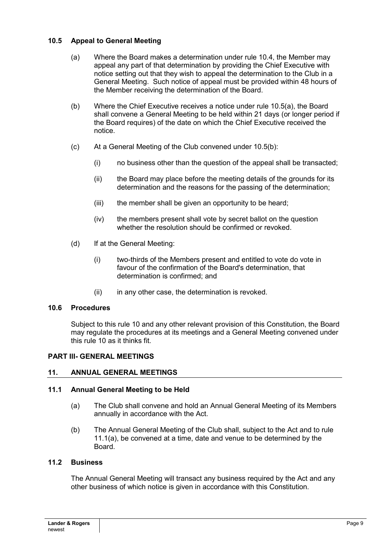## **10.5 Appeal to General Meeting**

- (a) Where the Board makes a determination under rule 10.4, the Member may appeal any part of that determination by providing the Chief Executive with notice setting out that they wish to appeal the determination to the Club in a General Meeting. Such notice of appeal must be provided within 48 hours of the Member receiving the determination of the Board.
- (b) Where the Chief Executive receives a notice under rule 10.5(a), the Board shall convene a General Meeting to be held within 21 days (or longer period if the Board requires) of the date on which the Chief Executive received the notice.
- (c) At a General Meeting of the Club convened under 10.5(b):
	- (i) no business other than the question of the appeal shall be transacted;
	- (ii) the Board may place before the meeting details of the grounds for its determination and the reasons for the passing of the determination;
	- (iii) the member shall be given an opportunity to be heard;
	- (iv) the members present shall vote by secret ballot on the question whether the resolution should be confirmed or revoked.
- (d) If at the General Meeting:
	- (i) two-thirds of the Members present and entitled to vote do vote in favour of the confirmation of the Board's determination, that determination is confirmed; and
	- (ii) in any other case, the determination is revoked.

#### **10.6 Procedures**

Subject to this rule 10 and any other relevant provision of this Constitution, the Board may regulate the procedures at its meetings and a General Meeting convened under this rule 10 as it thinks fit.

#### **PART III- GENERAL MEETINGS**

## **11. ANNUAL GENERAL MEETINGS**

#### **11.1 Annual General Meeting to be Held**

- (a) The Club shall convene and hold an Annual General Meeting of its Members annually in accordance with the Act.
- (b) The Annual General Meeting of the Club shall, subject to the Act and to rule 11.1(a), be convened at a time, date and venue to be determined by the Board.

#### **11.2 Business**

The Annual General Meeting will transact any business required by the Act and any other business of which notice is given in accordance with this Constitution.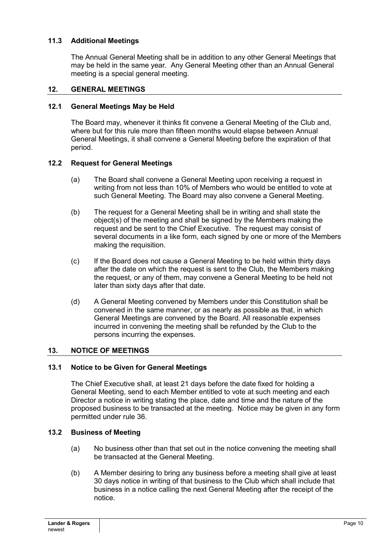## **11.3 Additional Meetings**

The Annual General Meeting shall be in addition to any other General Meetings that may be held in the same year. Any General Meeting other than an Annual General meeting is a special general meeting.

#### **12. GENERAL MEETINGS**

#### **12.1 General Meetings May be Held**

The Board may, whenever it thinks fit convene a General Meeting of the Club and, where but for this rule more than fifteen months would elapse between Annual General Meetings, it shall convene a General Meeting before the expiration of that period.

### **12.2 Request for General Meetings**

- (a) The Board shall convene a General Meeting upon receiving a request in writing from not less than 10% of Members who would be entitled to vote at such General Meeting. The Board may also convene a General Meeting.
- (b) The request for a General Meeting shall be in writing and shall state the object(s) of the meeting and shall be signed by the Members making the request and be sent to the Chief Executive. The request may consist of several documents in a like form, each signed by one or more of the Members making the requisition.
- (c) If the Board does not cause a General Meeting to be held within thirty days after the date on which the request is sent to the Club, the Members making the request, or any of them, may convene a General Meeting to be held not later than sixty days after that date.
- (d) A General Meeting convened by Members under this Constitution shall be convened in the same manner, or as nearly as possible as that, in which General Meetings are convened by the Board. All reasonable expenses incurred in convening the meeting shall be refunded by the Club to the persons incurring the expenses.

## **13. NOTICE OF MEETINGS**

#### **13.1 Notice to be Given for General Meetings**

The Chief Executive shall, at least 21 days before the date fixed for holding a General Meeting, send to each Member entitled to vote at such meeting and each Director a notice in writing stating the place, date and time and the nature of the proposed business to be transacted at the meeting. Notice may be given in any form permitted under rule 36.

#### **13.2 Business of Meeting**

- (a) No business other than that set out in the notice convening the meeting shall be transacted at the General Meeting.
- (b) A Member desiring to bring any business before a meeting shall give at least 30 days notice in writing of that business to the Club which shall include that business in a notice calling the next General Meeting after the receipt of the notice.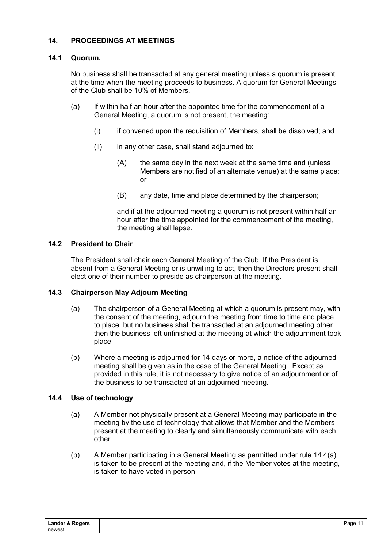#### **14.1 Quorum.**

No business shall be transacted at any general meeting unless a quorum is present at the time when the meeting proceeds to business. A quorum for General Meetings of the Club shall be 10% of Members.

- (a) If within half an hour after the appointed time for the commencement of a General Meeting, a quorum is not present, the meeting:
	- (i) if convened upon the requisition of Members, shall be dissolved; and
	- (ii) in any other case, shall stand adjourned to:
		- (A) the same day in the next week at the same time and (unless Members are notified of an alternate venue) at the same place; or
		- (B) any date, time and place determined by the chairperson;

and if at the adjourned meeting a quorum is not present within half an hour after the time appointed for the commencement of the meeting, the meeting shall lapse.

#### **14.2 President to Chair**

The President shall chair each General Meeting of the Club. If the President is absent from a General Meeting or is unwilling to act, then the Directors present shall elect one of their number to preside as chairperson at the meeting.

#### **14.3 Chairperson May Adjourn Meeting**

- (a) The chairperson of a General Meeting at which a quorum is present may, with the consent of the meeting, adjourn the meeting from time to time and place to place, but no business shall be transacted at an adjourned meeting other then the business left unfinished at the meeting at which the adjournment took place.
- (b) Where a meeting is adjourned for 14 days or more, a notice of the adjourned meeting shall be given as in the case of the General Meeting. Except as provided in this rule, it is not necessary to give notice of an adjournment or of the business to be transacted at an adjourned meeting.

#### **14.4 Use of technology**

- (a) A Member not physically present at a General Meeting may participate in the meeting by the use of technology that allows that Member and the Members present at the meeting to clearly and simultaneously communicate with each other.
- (b) A Member participating in a General Meeting as permitted under rule 14.4(a) is taken to be present at the meeting and, if the Member votes at the meeting, is taken to have voted in person.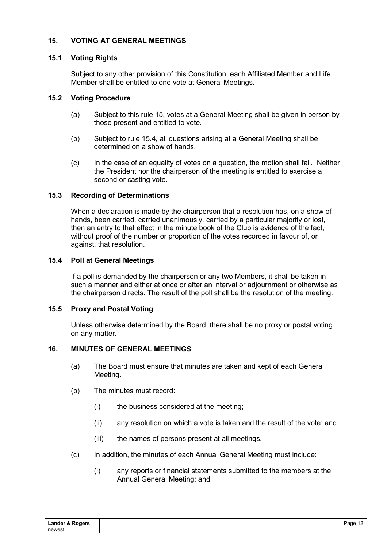#### **15. VOTING AT GENERAL MEETINGS**

#### **15.1 Voting Rights**

Subject to any other provision of this Constitution, each Affiliated Member and Life Member shall be entitled to one vote at General Meetings.

#### **15.2 Voting Procedure**

- (a) Subject to this rule 15, votes at a General Meeting shall be given in person by those present and entitled to vote.
- (b) Subject to rule 15.4, all questions arising at a General Meeting shall be determined on a show of hands.
- (c) In the case of an equality of votes on a question, the motion shall fail. Neither the President nor the chairperson of the meeting is entitled to exercise a second or casting vote.

### **15.3 Recording of Determinations**

When a declaration is made by the chairperson that a resolution has, on a show of hands, been carried, carried unanimously, carried by a particular majority or lost, then an entry to that effect in the minute book of the Club is evidence of the fact, without proof of the number or proportion of the votes recorded in favour of, or against, that resolution.

#### **15.4 Poll at General Meetings**

If a poll is demanded by the chairperson or any two Members, it shall be taken in such a manner and either at once or after an interval or adjournment or otherwise as the chairperson directs. The result of the poll shall be the resolution of the meeting.

#### **15.5 Proxy and Postal Voting**

Unless otherwise determined by the Board, there shall be no proxy or postal voting on any matter.

#### **16. MINUTES OF GENERAL MEETINGS**

- (a) The Board must ensure that minutes are taken and kept of each General Meeting.
- (b) The minutes must record:
	- (i) the business considered at the meeting;
	- (ii) any resolution on which a vote is taken and the result of the vote; and
	- (iii) the names of persons present at all meetings.
- (c) In addition, the minutes of each Annual General Meeting must include:
	- (i) any reports or financial statements submitted to the members at the Annual General Meeting; and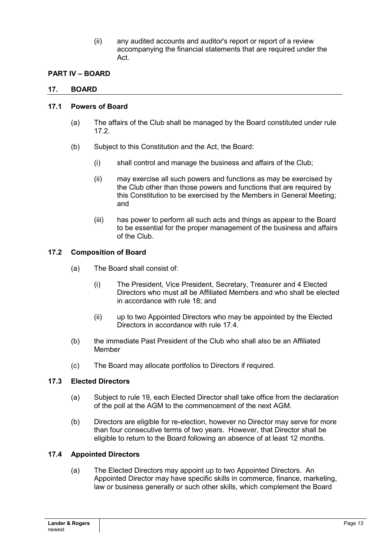(ii) any audited accounts and auditor's report or report of a review accompanying the financial statements that are required under the Act.

## **PART IV – BOARD**

#### **17. BOARD**

#### **17.1 Powers of Board**

- (a) The affairs of the Club shall be managed by the Board constituted under rule 17.2.
- (b) Subject to this Constitution and the Act, the Board:
	- (i) shall control and manage the business and affairs of the Club;
	- (ii) may exercise all such powers and functions as may be exercised by the Club other than those powers and functions that are required by this Constitution to be exercised by the Members in General Meeting; and
	- (iii) has power to perform all such acts and things as appear to the Board to be essential for the proper management of the business and affairs of the Club.

#### **17.2 Composition of Board**

- (a) The Board shall consist of:
	- (i) The President, Vice President, Secretary, Treasurer and 4 Elected Directors who must all be Affiliated Members and who shall be elected in accordance with rule 18; and
	- (ii) up to two Appointed Directors who may be appointed by the Elected Directors in accordance with rule 17.4.
- (b) the immediate Past President of the Club who shall also be an Affiliated Member
- (c) The Board may allocate portfolios to Directors if required.

#### **17.3 Elected Directors**

- (a) Subject to rule 19, each Elected Director shall take office from the declaration of the poll at the AGM to the commencement of the next AGM.
- (b) Directors are eligible for re-election, however no Director may serve for more than four consecutive terms of two years. However, that Director shall be eligible to return to the Board following an absence of at least 12 months.

#### **17.4 Appointed Directors**

(a) The Elected Directors may appoint up to two Appointed Directors. An Appointed Director may have specific skills in commerce, finance, marketing, law or business generally or such other skills, which complement the Board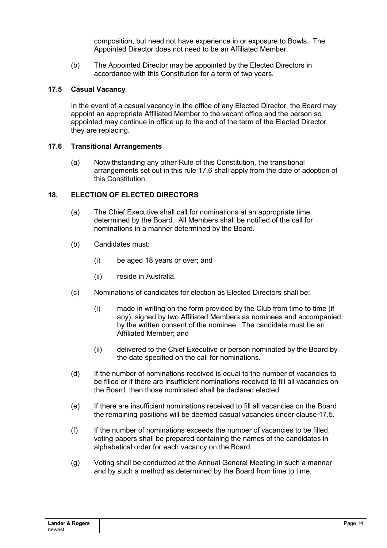composition, but need not have experience in or exposure to Bowls. The Appointed Director does not need to be an Affiliated Member.

(b) The Appointed Director may be appointed by the Elected Directors in accordance with this Constitution for a term of two years.

#### **17.5 Casual Vacancy**

In the event of a casual vacancy in the office of any Elected Director, the Board may appoint an appropriate Affiliated Member to the vacant office and the person so appointed may continue in office up to the end of the term of the Elected Director they are replacing.

#### **17.6 Transitional Arrangements**

(a) Notwithstanding any other Rule of this Constitution, the transitional arrangements set out in this rule 17.6 shall apply from the date of adoption of this Constitution.

### **18. ELECTION OF ELECTED DIRECTORS**

- (a) The Chief Executive shall call for nominations at an appropriate time determined by the Board. All Members shall be notified of the call for nominations in a manner determined by the Board.
- (b) Candidates must:
	- (i) be aged 18 years or over; and
	- (ii) reside in Australia.
- (c) Nominations of candidates for election as Elected Directors shall be:
	- (i) made in writing on the form provided by the Club from time to time (if any), signed by two Affiliated Members as nominees and accompanied by the written consent of the nominee. The candidate must be an Affiliated Member; and
	- (ii) delivered to the Chief Executive or person nominated by the Board by the date specified on the call for nominations.
- (d) If the number of nominations received is equal to the number of vacancies to be filled or if there are insufficient nominations received to fill all vacancies on the Board, then those nominated shall be declared elected.
- (e) If there are insufficient nominations received to fill all vacancies on the Board the remaining positions will be deemed casual vacancies under clause 17.5.
- (f) If the number of nominations exceeds the number of vacancies to be filled, voting papers shall be prepared containing the names of the candidates in alphabetical order for each vacancy on the Board.
- (g) Voting shall be conducted at the Annual General Meeting in such a manner and by such a method as determined by the Board from time to time.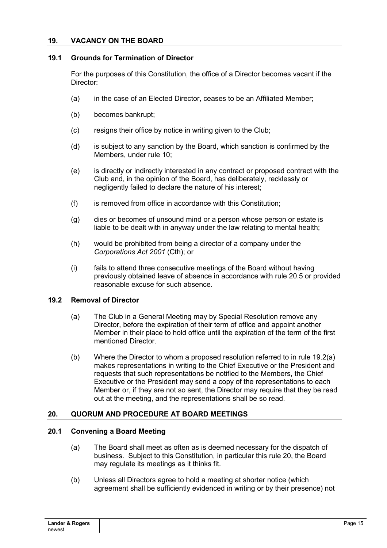#### **19. VACANCY ON THE BOARD**

#### **19.1 Grounds for Termination of Director**

For the purposes of this Constitution, the office of a Director becomes vacant if the Director:

- (a) in the case of an Elected Director, ceases to be an Affiliated Member;
- (b) becomes bankrupt;
- (c) resigns their office by notice in writing given to the Club;
- (d) is subject to any sanction by the Board, which sanction is confirmed by the Members, under rule 10;
- (e) is directly or indirectly interested in any contract or proposed contract with the Club and, in the opinion of the Board, has deliberately, recklessly or negligently failed to declare the nature of his interest;
- (f) is removed from office in accordance with this Constitution;
- (g) dies or becomes of unsound mind or a person whose person or estate is liable to be dealt with in anyway under the law relating to mental health;
- (h) would be prohibited from being a director of a company under the *Corporations Act 2001* (Cth); or
- (i) fails to attend three consecutive meetings of the Board without having previously obtained leave of absence in accordance with rule 20.5 or provided reasonable excuse for such absence.

#### **19.2 Removal of Director**

- (a) The Club in a General Meeting may by Special Resolution remove any Director, before the expiration of their term of office and appoint another Member in their place to hold office until the expiration of the term of the first mentioned Director.
- (b) Where the Director to whom a proposed resolution referred to in rule 19.2(a) makes representations in writing to the Chief Executive or the President and requests that such representations be notified to the Members, the Chief Executive or the President may send a copy of the representations to each Member or, if they are not so sent, the Director may require that they be read out at the meeting, and the representations shall be so read.

#### **20. QUORUM AND PROCEDURE AT BOARD MEETINGS**

#### **20.1 Convening a Board Meeting**

- (a) The Board shall meet as often as is deemed necessary for the dispatch of business. Subject to this Constitution, in particular this rule 20, the Board may regulate its meetings as it thinks fit.
- (b) Unless all Directors agree to hold a meeting at shorter notice (which agreement shall be sufficiently evidenced in writing or by their presence) not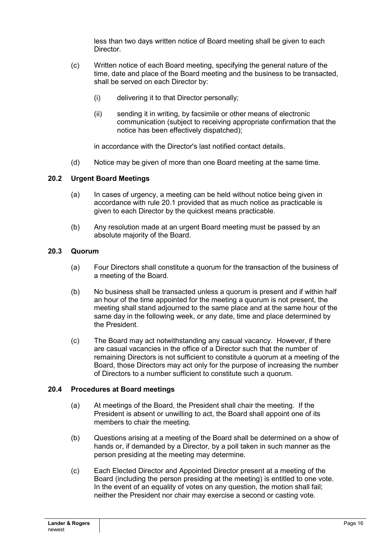less than two days written notice of Board meeting shall be given to each **Director** 

- (c) Written notice of each Board meeting, specifying the general nature of the time, date and place of the Board meeting and the business to be transacted, shall be served on each Director by:
	- (i) delivering it to that Director personally;
	- (ii) sending it in writing, by facsimile or other means of electronic communication (subject to receiving appropriate confirmation that the notice has been effectively dispatched);

in accordance with the Director's last notified contact details.

(d) Notice may be given of more than one Board meeting at the same time.

### **20.2 Urgent Board Meetings**

- (a) In cases of urgency, a meeting can be held without notice being given in accordance with rule 20.1 provided that as much notice as practicable is given to each Director by the quickest means practicable.
- (b) Any resolution made at an urgent Board meeting must be passed by an absolute majority of the Board.

### **20.3 Quorum**

- (a) Four Directors shall constitute a quorum for the transaction of the business of a meeting of the Board.
- (b) No business shall be transacted unless a quorum is present and if within half an hour of the time appointed for the meeting a quorum is not present, the meeting shall stand adjourned to the same place and at the same hour of the same day in the following week, or any date, time and place determined by the President.
- (c) The Board may act notwithstanding any casual vacancy. However, if there are casual vacancies in the office of a Director such that the number of remaining Directors is not sufficient to constitute a quorum at a meeting of the Board, those Directors may act only for the purpose of increasing the number of Directors to a number sufficient to constitute such a quorum.

#### **20.4 Procedures at Board meetings**

- (a) At meetings of the Board, the President shall chair the meeting. If the President is absent or unwilling to act, the Board shall appoint one of its members to chair the meeting.
- (b) Questions arising at a meeting of the Board shall be determined on a show of hands or, if demanded by a Director, by a poll taken in such manner as the person presiding at the meeting may determine.
- (c) Each Elected Director and Appointed Director present at a meeting of the Board (including the person presiding at the meeting) is entitled to one vote. In the event of an equality of votes on any question, the motion shall fail; neither the President nor chair may exercise a second or casting vote.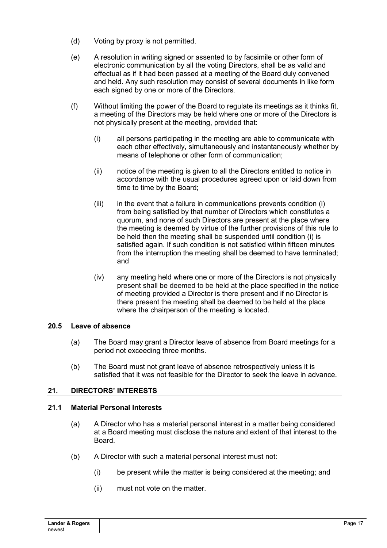- (d) Voting by proxy is not permitted.
- (e) A resolution in writing signed or assented to by facsimile or other form of electronic communication by all the voting Directors, shall be as valid and effectual as if it had been passed at a meeting of the Board duly convened and held. Any such resolution may consist of several documents in like form each signed by one or more of the Directors.
- (f) Without limiting the power of the Board to regulate its meetings as it thinks fit, a meeting of the Directors may be held where one or more of the Directors is not physically present at the meeting, provided that:
	- (i) all persons participating in the meeting are able to communicate with each other effectively, simultaneously and instantaneously whether by means of telephone or other form of communication;
	- (ii) notice of the meeting is given to all the Directors entitled to notice in accordance with the usual procedures agreed upon or laid down from time to time by the Board;
	- $(iii)$  in the event that a failure in communications prevents condition  $(i)$ from being satisfied by that number of Directors which constitutes a quorum, and none of such Directors are present at the place where the meeting is deemed by virtue of the further provisions of this rule to be held then the meeting shall be suspended until condition (i) is satisfied again. If such condition is not satisfied within fifteen minutes from the interruption the meeting shall be deemed to have terminated; and
	- (iv) any meeting held where one or more of the Directors is not physically present shall be deemed to be held at the place specified in the notice of meeting provided a Director is there present and if no Director is there present the meeting shall be deemed to be held at the place where the chairperson of the meeting is located.

## **20.5 Leave of absence**

- (a) The Board may grant a Director leave of absence from Board meetings for a period not exceeding three months.
- (b) The Board must not grant leave of absence retrospectively unless it is satisfied that it was not feasible for the Director to seek the leave in advance.

## **21. DIRECTORS' INTERESTS**

#### **21.1 Material Personal Interests**

- (a) A Director who has a material personal interest in a matter being considered at a Board meeting must disclose the nature and extent of that interest to the Board.
- (b) A Director with such a material personal interest must not:
	- (i) be present while the matter is being considered at the meeting; and
	- (ii) must not vote on the matter.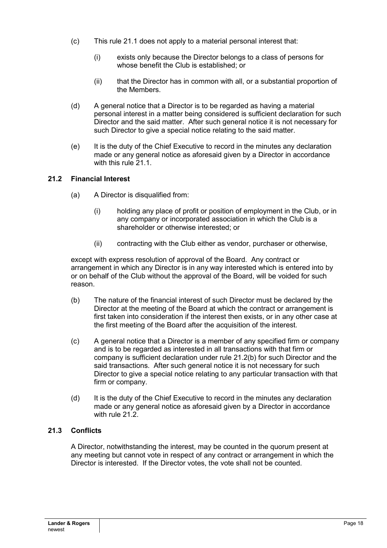- (c) This rule 21.1 does not apply to a material personal interest that:
	- (i) exists only because the Director belongs to a class of persons for whose benefit the Club is established; or
	- (ii) that the Director has in common with all, or a substantial proportion of the Members.
- (d) A general notice that a Director is to be regarded as having a material personal interest in a matter being considered is sufficient declaration for such Director and the said matter. After such general notice it is not necessary for such Director to give a special notice relating to the said matter.
- (e) It is the duty of the Chief Executive to record in the minutes any declaration made or any general notice as aforesaid given by a Director in accordance with this rule 21.1.

### **21.2 Financial Interest**

- (a) A Director is disqualified from:
	- (i) holding any place of profit or position of employment in the Club, or in any company or incorporated association in which the Club is a shareholder or otherwise interested; or
	- (ii) contracting with the Club either as vendor, purchaser or otherwise,

except with express resolution of approval of the Board. Any contract or arrangement in which any Director is in any way interested which is entered into by or on behalf of the Club without the approval of the Board, will be voided for such reason.

- (b) The nature of the financial interest of such Director must be declared by the Director at the meeting of the Board at which the contract or arrangement is first taken into consideration if the interest then exists, or in any other case at the first meeting of the Board after the acquisition of the interest.
- (c) A general notice that a Director is a member of any specified firm or company and is to be regarded as interested in all transactions with that firm or company is sufficient declaration under rule 21.2(b) for such Director and the said transactions. After such general notice it is not necessary for such Director to give a special notice relating to any particular transaction with that firm or company.
- (d) It is the duty of the Chief Executive to record in the minutes any declaration made or any general notice as aforesaid given by a Director in accordance with rule 21.2.

#### **21.3 Conflicts**

A Director, notwithstanding the interest, may be counted in the quorum present at any meeting but cannot vote in respect of any contract or arrangement in which the Director is interested. If the Director votes, the vote shall not be counted.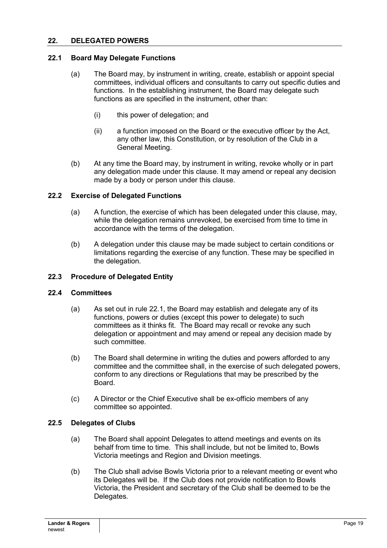### **22. DELEGATED POWERS**

#### **22.1 Board May Delegate Functions**

- (a) The Board may, by instrument in writing, create, establish or appoint special committees, individual officers and consultants to carry out specific duties and functions. In the establishing instrument, the Board may delegate such functions as are specified in the instrument, other than:
	- (i) this power of delegation; and
	- (ii) a function imposed on the Board or the executive officer by the Act, any other law, this Constitution, or by resolution of the Club in a General Meeting.
- (b) At any time the Board may, by instrument in writing, revoke wholly or in part any delegation made under this clause. It may amend or repeal any decision made by a body or person under this clause.

#### **22.2 Exercise of Delegated Functions**

- (a) A function, the exercise of which has been delegated under this clause, may, while the delegation remains unrevoked, be exercised from time to time in accordance with the terms of the delegation.
- (b) A delegation under this clause may be made subject to certain conditions or limitations regarding the exercise of any function. These may be specified in the delegation.

#### **22.3 Procedure of Delegated Entity**

#### **22.4 Committees**

- (a) As set out in rule 22.1, the Board may establish and delegate any of its functions, powers or duties (except this power to delegate) to such committees as it thinks fit. The Board may recall or revoke any such delegation or appointment and may amend or repeal any decision made by such committee.
- (b) The Board shall determine in writing the duties and powers afforded to any committee and the committee shall, in the exercise of such delegated powers, conform to any directions or Regulations that may be prescribed by the Board.
- (c) A Director or the Chief Executive shall be ex-officio members of any committee so appointed.

#### **22.5 Delegates of Clubs**

- (a) The Board shall appoint Delegates to attend meetings and events on its behalf from time to time. This shall include, but not be limited to, Bowls Victoria meetings and Region and Division meetings.
- (b) The Club shall advise Bowls Victoria prior to a relevant meeting or event who its Delegates will be. If the Club does not provide notification to Bowls Victoria, the President and secretary of the Club shall be deemed to be the Delegates.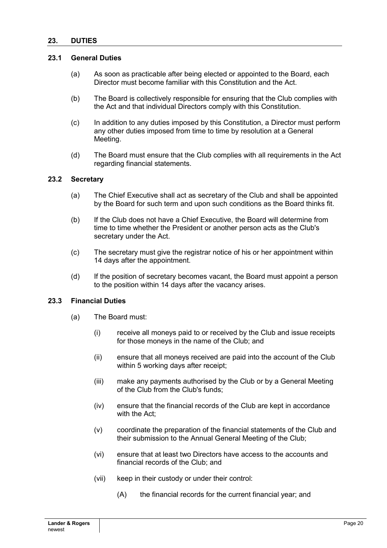#### **23. DUTIES**

### **23.1 General Duties**

- (a) As soon as practicable after being elected or appointed to the Board, each Director must become familiar with this Constitution and the Act.
- (b) The Board is collectively responsible for ensuring that the Club complies with the Act and that individual Directors comply with this Constitution.
- (c) In addition to any duties imposed by this Constitution, a Director must perform any other duties imposed from time to time by resolution at a General Meeting.
- (d) The Board must ensure that the Club complies with all requirements in the Act regarding financial statements.

#### **23.2 Secretary**

- (a) The Chief Executive shall act as secretary of the Club and shall be appointed by the Board for such term and upon such conditions as the Board thinks fit.
- (b) If the Club does not have a Chief Executive, the Board will determine from time to time whether the President or another person acts as the Club's secretary under the Act.
- (c) The secretary must give the registrar notice of his or her appointment within 14 days after the appointment.
- (d) If the position of secretary becomes vacant, the Board must appoint a person to the position within 14 days after the vacancy arises.

#### **23.3 Financial Duties**

- (a) The Board must:
	- (i) receive all moneys paid to or received by the Club and issue receipts for those moneys in the name of the Club; and
	- (ii) ensure that all moneys received are paid into the account of the Club within 5 working days after receipt;
	- (iii) make any payments authorised by the Club or by a General Meeting of the Club from the Club's funds;
	- (iv) ensure that the financial records of the Club are kept in accordance with the Act;
	- (v) coordinate the preparation of the financial statements of the Club and their submission to the Annual General Meeting of the Club;
	- (vi) ensure that at least two Directors have access to the accounts and financial records of the Club; and
	- (vii) keep in their custody or under their control:
		- (A) the financial records for the current financial year; and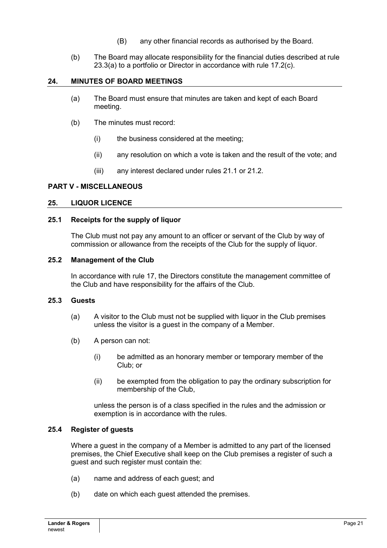- (B) any other financial records as authorised by the Board.
- (b) The Board may allocate responsibility for the financial duties described at rule 23.3(a) to a portfolio or Director in accordance with rule 17.2(c).

#### **24. MINUTES OF BOARD MEETINGS**

- (a) The Board must ensure that minutes are taken and kept of each Board meeting.
- (b) The minutes must record:
	- (i) the business considered at the meeting;
	- (ii) any resolution on which a vote is taken and the result of the vote; and
	- (iii) any interest declared under rules 21.1 or 21.2.

#### **PART V - MISCELLANEOUS**

#### **25. LIQUOR LICENCE**

#### **25.1 Receipts for the supply of liquor**

The Club must not pay any amount to an officer or servant of the Club by way of commission or allowance from the receipts of the Club for the supply of liquor.

#### **25.2 Management of the Club**

In accordance with rule 17, the Directors constitute the management committee of the Club and have responsibility for the affairs of the Club.

#### **25.3 Guests**

- (a) A visitor to the Club must not be supplied with liquor in the Club premises unless the visitor is a guest in the company of a Member.
- (b) A person can not:
	- (i) be admitted as an honorary member or temporary member of the Club; or
	- (ii) be exempted from the obligation to pay the ordinary subscription for membership of the Club,

unless the person is of a class specified in the rules and the admission or exemption is in accordance with the rules.

#### **25.4 Register of guests**

Where a guest in the company of a Member is admitted to any part of the licensed premises, the Chief Executive shall keep on the Club premises a register of such a guest and such register must contain the:

- (a) name and address of each guest; and
- (b) date on which each guest attended the premises.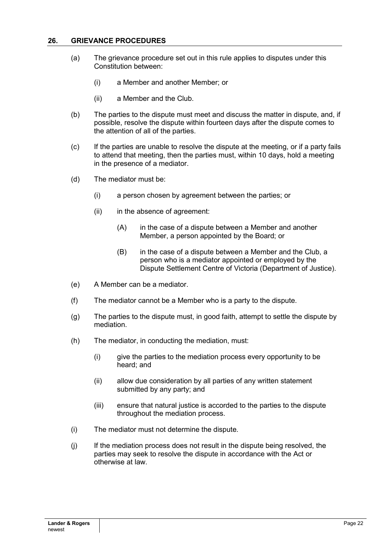#### **26. GRIEVANCE PROCEDURES**

- (a) The grievance procedure set out in this rule applies to disputes under this Constitution between:
	- (i) a Member and another Member; or
	- (ii) a Member and the Club.
- (b) The parties to the dispute must meet and discuss the matter in dispute, and, if possible, resolve the dispute within fourteen days after the dispute comes to the attention of all of the parties.
- (c) If the parties are unable to resolve the dispute at the meeting, or if a party fails to attend that meeting, then the parties must, within 10 days, hold a meeting in the presence of a mediator.
- (d) The mediator must be:
	- (i) a person chosen by agreement between the parties; or
	- (ii) in the absence of agreement:
		- (A) in the case of a dispute between a Member and another Member, a person appointed by the Board; or
		- (B) in the case of a dispute between a Member and the Club, a person who is a mediator appointed or employed by the Dispute Settlement Centre of Victoria (Department of Justice).
- (e) A Member can be a mediator.
- (f) The mediator cannot be a Member who is a party to the dispute.
- (g) The parties to the dispute must, in good faith, attempt to settle the dispute by mediation.
- (h) The mediator, in conducting the mediation, must:
	- (i) give the parties to the mediation process every opportunity to be heard; and
	- (ii) allow due consideration by all parties of any written statement submitted by any party; and
	- (iii) ensure that natural justice is accorded to the parties to the dispute throughout the mediation process.
- (i) The mediator must not determine the dispute.
- (j) If the mediation process does not result in the dispute being resolved, the parties may seek to resolve the dispute in accordance with the Act or otherwise at law.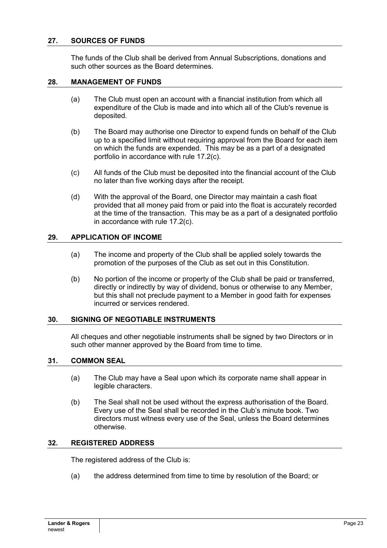### **27. SOURCES OF FUNDS**

The funds of the Club shall be derived from Annual Subscriptions, donations and such other sources as the Board determines.

#### **28. MANAGEMENT OF FUNDS**

- (a) The Club must open an account with a financial institution from which all expenditure of the Club is made and into which all of the Club's revenue is deposited.
- (b) The Board may authorise one Director to expend funds on behalf of the Club up to a specified limit without requiring approval from the Board for each item on which the funds are expended. This may be as a part of a designated portfolio in accordance with rule 17.2(c).
- (c) All funds of the Club must be deposited into the financial account of the Club no later than five working days after the receipt.
- (d) With the approval of the Board, one Director may maintain a cash float provided that all money paid from or paid into the float is accurately recorded at the time of the transaction. This may be as a part of a designated portfolio in accordance with rule 17.2(c).

#### **29. APPLICATION OF INCOME**

- (a) The income and property of the Club shall be applied solely towards the promotion of the purposes of the Club as set out in this Constitution.
- (b) No portion of the income or property of the Club shall be paid or transferred, directly or indirectly by way of dividend, bonus or otherwise to any Member, but this shall not preclude payment to a Member in good faith for expenses incurred or services rendered.

## **30. SIGNING OF NEGOTIABLE INSTRUMENTS**

All cheques and other negotiable instruments shall be signed by two Directors or in such other manner approved by the Board from time to time.

#### **31. COMMON SEAL**

- (a) The Club may have a Seal upon which its corporate name shall appear in legible characters.
- (b) The Seal shall not be used without the express authorisation of the Board. Every use of the Seal shall be recorded in the Club's minute book. Two directors must witness every use of the Seal, unless the Board determines otherwise.

#### **32. REGISTERED ADDRESS**

The registered address of the Club is:

(a) the address determined from time to time by resolution of the Board; or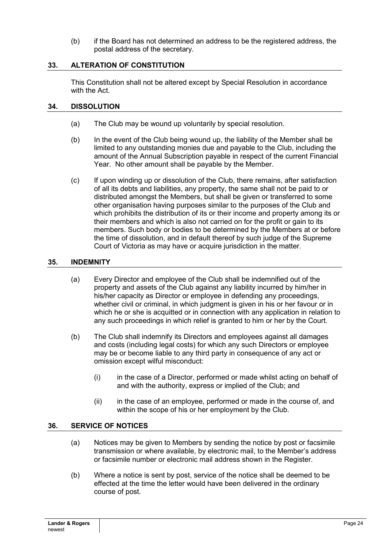(b) if the Board has not determined an address to be the registered address, the postal address of the secretary.

#### **33. ALTERATION OF CONSTITUTION**

This Constitution shall not be altered except by Special Resolution in accordance with the Act.

#### **34. DISSOLUTION**

- (a) The Club may be wound up voluntarily by special resolution.
- (b) In the event of the Club being wound up, the liability of the Member shall be limited to any outstanding monies due and payable to the Club, including the amount of the Annual Subscription payable in respect of the current Financial Year. No other amount shall be payable by the Member.
- (c) If upon winding up or dissolution of the Club, there remains, after satisfaction of all its debts and liabilities, any property, the same shall not be paid to or distributed amongst the Members, but shall be given or transferred to some other organisation having purposes similar to the purposes of the Club and which prohibits the distribution of its or their income and property among its or their members and which is also not carried on for the profit or gain to its members. Such body or bodies to be determined by the Members at or before the time of dissolution, and in default thereof by such judge of the Supreme Court of Victoria as may have or acquire jurisdiction in the matter.

### **35. INDEMNITY**

- (a) Every Director and employee of the Club shall be indemnified out of the property and assets of the Club against any liability incurred by him/her in his/her capacity as Director or employee in defending any proceedings, whether civil or criminal, in which judgment is given in his or her favour or in which he or she is acquitted or in connection with any application in relation to any such proceedings in which relief is granted to him or her by the Court.
- (b) The Club shall indemnify its Directors and employees against all damages and costs (including legal costs) for which any such Directors or employee may be or become liable to any third party in consequence of any act or omission except wilful misconduct:
	- (i) in the case of a Director, performed or made whilst acting on behalf of and with the authority, express or implied of the Club; and
	- (ii) in the case of an employee, performed or made in the course of, and within the scope of his or her employment by the Club.

## **36. SERVICE OF NOTICES**

- (a) Notices may be given to Members by sending the notice by post or facsimile transmission or where available, by electronic mail, to the Member's address or facsimile number or electronic mail address shown in the Register.
- (b) Where a notice is sent by post, service of the notice shall be deemed to be effected at the time the letter would have been delivered in the ordinary course of post.